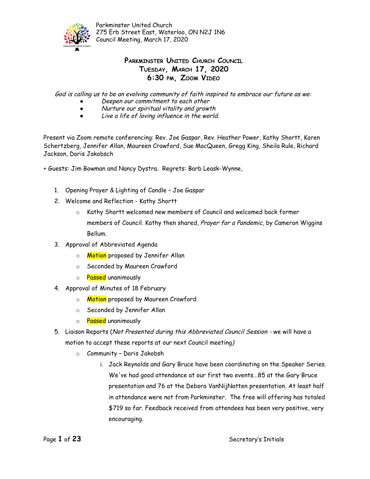

## **PARKMINSTER UNITED CHURCH COUNCIL TUESDAY, MARCH 17, 2020 6:30 PM, ZOOM VIDEO**

God is calling us to be an evolving community of faith inspired to embrace our future as we:

- Deepen our commitment to each other
- Nurture our spiritual vitality and growth
- Live <sup>a</sup> life of loving influence in the world.

Present via Zoom remote conferencing: Rev. Joe Gaspar, Rev. Heather Power, Kathy Shortt, Karen Schertzberg, Jennifer Allan, Maureen Crawford, Sue MacQueen, Gregg King, Sheila Rule, Richard Jackson, Doris Jakobsch

+ Guests: Jim Bowman and Nancy Dystra. Regrets: Barb Leask-Wynne,

- 1. Opening Prayer & Lighting of Candle Joe Gaspar
- 2. Welcome and Reflection Kathy Shortt
	- o Kathy Shortt welcomed new members of Council and welcomed back former members of Council. Kathy then shared, Prayer for a Pandemic, by Cameron Wiggins Bellum.
- 3. Approval of Abbreviated Agenda
	- o **Motion** proposed by Jennifer Allan
	- o Seconded by Maureen Crawford
	- o **Passed** unanimously
- 4. Approval of Minutes of 18 February
	- o Motion proposed by Maureen Crawford
	- o Seconded by Jennifer Allan
	- o Passed unanimously
- 5. Liaison Reports (Not Presented during this Abbreviated Council Session we will have a motion to accept these reports at our next Council meeting)
	- o Community Doris Jakobsh
		- i. Jack Reynolds and Gary Bruce have been coordinating on the Speaker Series. We've had good attendance at our first two events...85 at the Gary Bruce presentation and 76 at the Debora VanNijNatten presentation. At least half in attendance were not from Parkminster. The free will offering has totaled \$719 so far. Feedback received from attendees has been very positive, very encouraging.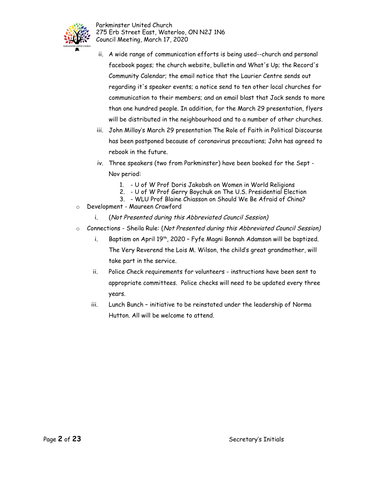

- ii. A wide range of communication efforts is being used--church and personal facebook pages; the church website, bulletin and What's Up; the Record's Community Calendar; the email notice that the Laurier Centre sends out regarding it's speaker events; a notice send to ten other local churches for communication to their members; and an email blast that Jack sends to more than one hundred people. In addition, for the March 29 presentation, flyers will be distributed in the neighbourhood and to a number of other churches.
- iii. John Milloy's March 29 presentation The Role of Faith in Political Discourse has been postponed because of coronavirus precautions; John has agreed to rebook in the future.
- iv. Three speakers (two from Parkminster) have been booked for the Sept Nov period:
	- 1. U of W Prof Doris Jakobsh on Women in World Religions
	- 2. U of W Prof Gerry Boychuk on The U.S. Presidential Election
	- 3. WLU Prof Blaine Chiasson on Should We Be Afraid of China?
- o Development Maureen Crawford
	- i. (Not Presented during this Abbreviated Council Session)
- o Connections Sheila Rule: (Not Presented during this Abbreviated Council Session)
	- i. Baptism on April 19<sup>th</sup>, 2020 Fyfe Magni Bonnah Adamson will be baptized. The Very Reverend the Lois M. Wilson, the child's great grandmother, will take part in the service.
	- ii. Police Check requirements for volunteers instructions have been sent to appropriate committees. Police checks will need to be updated every three years.
	- iii. Lunch Bunch initiative to be reinstated under the leadership of Norma Hutton. All will be welcome to attend.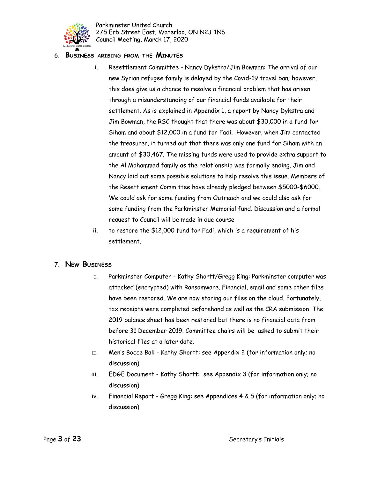

#### 6. **BUSINESS ARISING FROM THE MINUTES**

- i. Resettlement Committee Nancy Dykstra/Jim Bowman: The arrival of our new Syrian refugee family is delayed by the Covid-19 travel ban; however, this does give us a chance to resolve a financial problem that has arisen through a misunderstanding of our financial funds available for their settlement. As is explained in Appendix 1, a report by Nancy Dykstra and Jim Bowman, the RSC thought that there was about \$30,000 in a fund for Siham and about \$12,000 in a fund for Fadi. However, when Jim contacted the treasurer, it turned out that there was only one fund for Siham with an amount of \$30,467. The missing funds were used to provide extra support to the Al Mohammad family as the relationship was formally ending. Jim and Nancy laid out some possible solutions to help resolve this issue. Members of the Resettlement Committee have already pledged between \$5000-\$6000. We could ask for some funding from Outreach and we could also ask for some funding from the Parkminster Memorial fund. Discussion and a formal request to Council will be made in due course
- ii. to restore the \$12,000 fund for Fadi, which is a requirement of his settlement.

#### 7. **NEW BUSINESS**

- I. Parkminster Computer Kathy Shortt/Gregg King: Parkminster computer was attacked (encrypted) with Ransomware. Financial, email and some other files have been restored. We are now storing our files on the cloud. Fortunately, tax receipts were completed beforehand as well as the CRA submission. The 2019 balance sheet has been restored but there is no financial data from before 31 December 2019. Committee chairs will be asked to submit their historical files at a later date.
- II. Men's Bocce Ball Kathy Shortt: see Appendix 2 (for information only; no discussion)
- iii. EDGE Document Kathy Shortt: see Appendix 3 (for information only; no discussion)
- iv. Financial Report Gregg King: see Appendices 4 & 5 (for information only; no discussion)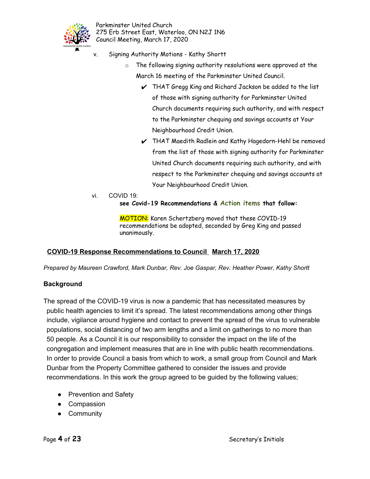

- v. Signing Authority Motions Kathy Shortt
	- o The following signing authority resolutions were approved at the March 16 meeting of the Parkminster United Council.
		- $\vee$  THAT Gregg King and Richard Jackson be added to the list of those with signing authority for Parkminster United Church documents requiring such authority, and with respect to the Parkminster chequing and savings accounts at Your Neighbourhood Credit Union.
		- ✔ THAT Maedith Radlein and Kathy Hagedorn-Hehl be removed from the list of those with signing authority for Parkminster United Church documents requiring such authority, and with respect to the Parkminster chequing and savings accounts at Your Neighbourhood Credit Union.
- vi. COVID 19: **see Covid-19 Recommendations & Action items that follow:**

MOTION: Karen Schertzberg moved that these COVID-19 recommendations be adopted, seconded by Greg King and passed unanimously.

## **COVID-19 Response Recommendations to Council March 17, 2020**

*Prepared by Maureen Crawford, Mark Dunbar, Rev. Joe Gaspar, Rev. Heather Power, Kathy Shortt*

## **Background**

The spread of the COVID-19 virus is now a pandemic that has necessitated measures by public health agencies to limit it's spread. The latest recommendations among other things include, vigilance around hygiene and contact to prevent the spread of the virus to vulnerable populations, social distancing of two arm lengths and a limit on gatherings to no more than 50 people. As a Council it is our responsibility to consider the impact on the life of the congregation and implement measures that are in line with public health recommendations. In order to provide Council a basis from which to work, a small group from Council and Mark Dunbar from the Property Committee gathered to consider the issues and provide recommendations. In this work the group agreed to be guided by the following values;

- Prevention and Safety
- Compassion
- Community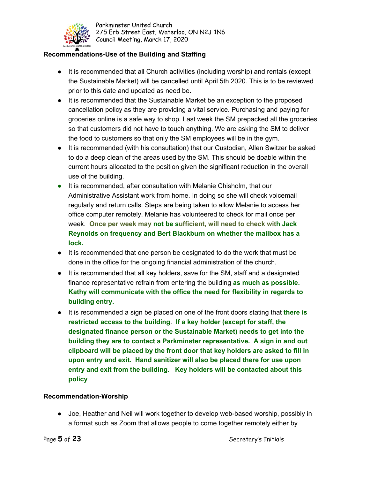

## **Recommendations-Use of the Building and Staffing**

- It is recommended that all Church activities (including worship) and rentals (except the Sustainable Market) will be cancelled until April 5th 2020. This is to be reviewed prior to this date and updated as need be.
- It is recommended that the Sustainable Market be an exception to the proposed cancellation policy as they are providing a vital service. Purchasing and paying for groceries online is a safe way to shop. Last week the SM prepacked all the groceries so that customers did not have to touch anything. We are asking the SM to deliver the food to customers so that only the SM employees will be in the gym.
- It is recommended (with his consultation) that our Custodian, Allen Switzer be asked to do a deep clean of the areas used by the SM. This should be doable within the current hours allocated to the position given the significant reduction in the overall use of the building.
- **●** It is recommended, after consultation with Melanie Chisholm, that our Administrative Assistant work from home. In doing so she will check voicemail regularly and return calls. Steps are being taken to allow Melanie to access her office computer remotely. Melanie has volunteered to check for mail once per week. **Once per week may not be sufficient, will need to check with Jack Reynolds on frequency and Bert Blackburn on whether the mailbox has a lock.**
- It is recommended that one person be designated to do the work that must be done in the office for the ongoing financial administration of the church.
- It is recommended that all key holders, save for the SM, staff and a designated finance representative refrain from entering the building **as much as possible. Kathy will communicate with the office the need for flexibility in regards to building entry.**
- It is recommended a sign be placed on one of the front doors stating that **there is restricted access to the building**. **If a key holder (except for staff, the designated finance person or the Sustainable Market) needs to get into the building they are to contact a Parkminster representative. A sign in and out clipboard will be placed by the front door that key holders are asked to fill in upon entry and exit. Hand sanitizer will also be placed there for use upon entry and exit from the building. Key holders will be contacted about this policy**

## **Recommendation-Worship**

● Joe, Heather and Neil will work together to develop web-based worship, possibly in a format such as Zoom that allows people to come together remotely either by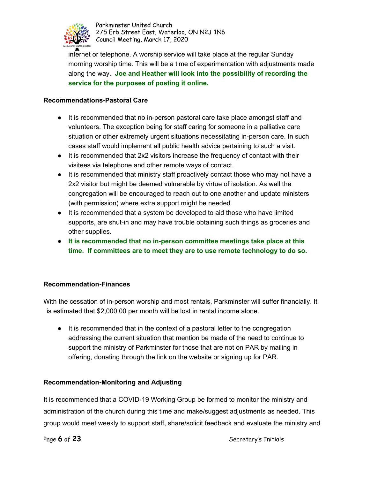

internet or telephone. A worship service will take place at the regular Sunday morning worship time. This will be a time of experimentation with adjustments made along the way. **Joe and Heather will look into the possibility of recording the service for the purposes of posting it online.**

#### **Recommendations-Pastoral Care**

- It is recommended that no in-person pastoral care take place amongst staff and volunteers. The exception being for staff caring for someone in a palliative care situation or other extremely urgent situations necessitating in-person care. In such cases staff would implement all public health advice pertaining to such a visit.
- It is recommended that 2x2 visitors increase the frequency of contact with their visitees via telephone and other remote ways of contact.
- It is recommended that ministry staff proactively contact those who may not have a 2x2 visitor but might be deemed vulnerable by virtue of isolation. As well the congregation will be encouraged to reach out to one another and update ministers (with permission) where extra support might be needed.
- It is recommended that a system be developed to aid those who have limited supports, are shut-in and may have trouble obtaining such things as groceries and other supplies.
- **It is recommended that no in-person committee meetings take place at this time. If committees are to meet they are to use remote technology to do so.**

## **Recommendation-Finances**

With the cessation of in-person worship and most rentals, Parkminster will suffer financially. It is estimated that \$2,000.00 per month will be lost in rental income alone.

● It is recommended that in the context of a pastoral letter to the congregation addressing the current situation that mention be made of the need to continue to support the ministry of Parkminster for those that are not on PAR by mailing in offering, donating through the link on the website or signing up for PAR.

## **Recommendation-Monitoring and Adjusting**

It is recommended that a COVID-19 Working Group be formed to monitor the ministry and administration of the church during this time and make/suggest adjustments as needed. This group would meet weekly to support staff, share/solicit feedback and evaluate the ministry and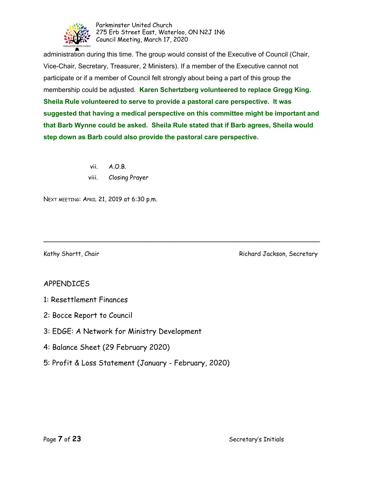

administration during this time. The group would consist of the Executive of Council (Chair, Vice-Chair, Secretary, Treasurer, 2 Ministers). If a member of the Executive cannot not participate or if a member of Council felt strongly about being a part of this group the membership could be adjusted. **Karen Schertzberg volunteered to replace Gregg King. Sheila Rule volunteered to serve to provide a pastoral care perspective. It was suggested that having a medical perspective on this committee might be important and that Barb Wynne could be asked. Sheila Rule stated that if Barb agrees, Sheila would step down as Barb could also provide the pastoral care perspective.**

\_\_\_\_\_\_\_\_\_\_\_\_\_\_\_\_\_\_\_\_\_\_\_\_\_\_\_\_\_\_\_\_\_\_\_\_\_\_\_\_\_\_\_\_\_\_\_\_\_\_\_\_\_\_\_\_\_\_\_\_\_\_\_\_\_\_\_\_\_\_\_\_\_

vii. A.O.B. viii. Closing Prayer

NEXT MEETING: APRIL 21, 2019 at 6:30 p.m.

Kathy Shortt, Chair **Richard Jackson, Secretary** 

## APPENDICES

- 1: Resettlement Finances
- 2: Bocce Report to Council
- 3: EDGE: A Network for Ministry Development
- 4: Balance Sheet (29 February 2020)
- 5: Profit & Loss Statement (January February, 2020)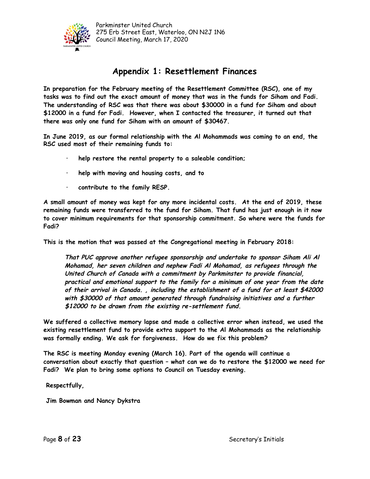

## **Appendix 1: Resettlement Finances**

**In preparation for the February meeting of the Resettlement Committee (RSC), one of my tasks was to find out the exact amount of money that was in the funds for Siham and Fadi. The understanding of RSC was that there was about \$30000 in a fund for Siham and about \$12000 in a fund for Fadi. However, when I contacted the treasurer, it turned out that there was only one fund for Siham with an amount of \$30467.**

**In June 2019, as our formal relationship with the Al Mohammads was coming to an end, the RSC used most of their remaining funds to:**

- **· help restore the rental property to a saleable condition;**
- **· help with moving and housing costs, and to**
- **· contribute to the family RESP.**

**A small amount of money was kept for any more incidental costs. At the end of 2019, these remaining funds were transferred to the fund for Siham. That fund has just enough in it now to cover minimum requirements for that sponsorship commitment. So where were the funds for Fadi?**

**This is the motion that was passed at the Congregational meeting in February 2018:**

**That PUC approve another refugee sponsorship and undertake to sponsor Siham Ali Al Mohamad, her seven children and nephew Fadi Al Mohamad, as refugees through the United Church of Canada with <sup>a</sup> commitment by Parkminster to provide financial, practical and emotional support to the family for <sup>a</sup> minimum of one year from the date of their arrival in Canada. , including the establishment of <sup>a</sup> fund for at least \$42000 with \$30000 of that amount generated through fundraising initiatives and <sup>a</sup> further \$12000 to be drawn from the existing re-settlement fund.**

**We suffered a collective memory lapse and made a collective error when instead, we used the existing resettlement fund to provide extra support to the Al Mohammads as the relationship was formally ending. We ask for forgiveness. How do we fix this problem?**

**The RSC is meeting Monday evening (March 16). Part of the agenda will continue a conversation about exactly that question – what can we do to restore the \$12000 we need for Fadi? We plan to bring some options to Council on Tuesday evening.**

**Respectfully,**

**Jim Bowman and Nancy Dykstra**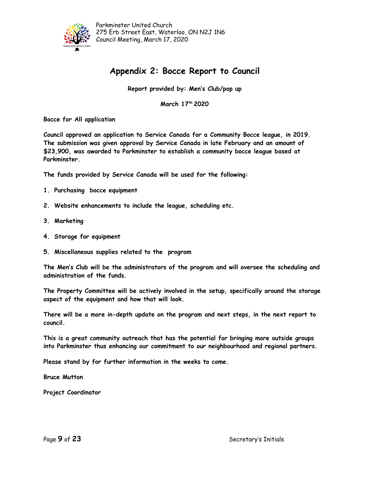

## **Appendix 2: Bocce Report to Council**

**Report provided by: Men's Club/pop up**

**March 17 th 2020**

**Bocce for All application**

**Council approved an application to Service Canada for a Community Bocce league, in 2019. The submission was given approval by Service Canada in late February and an amount of \$23,900, was awarded to Parkminster to establish a community bocce league based at Parkminster.**

**The funds provided by Service Canada will be used for the following:**

- **1. Purchasing bocce equipment**
- **2. Website enhancements to include the league, scheduling etc.**
- **3. Marketing**
- **4. Storage for equipment**
- **5. Miscellaneous supplies related to the program**

**The Men's Club will be the administrators of the program and will oversee the scheduling and administration of the funds.**

**The Property Committee will be actively involved in the setup, specifically around the storage aspect of the equipment and how that will look.**

**There will be a more in-depth update on the program and next steps, in the next report to council.**

**This is a great community outreach that has the potential for bringing more outside groups into Parkminster thus enhancing our commitment to our neighbourhood and regional partners.**

**Please stand by for further information in the weeks to come.**

**Bruce Mutton**

**Project Coordinator**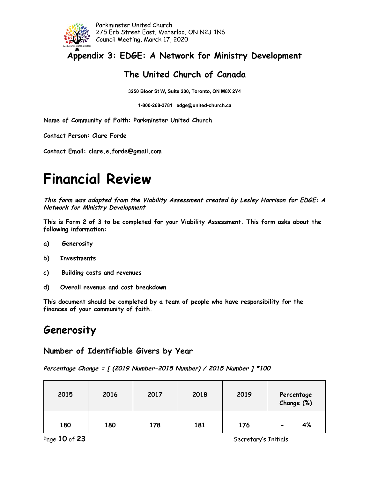

**Appendix 3: EDGE: A Network for Ministry Development**

## **The United Church of Canada**

**3250 Bloor St W, Suite 200, Toronto, ON M8X 2Y4**

**1-800-268-3781 edge@united-church.ca**

**Name of Community of Faith: Parkminster United Church**

**Contact Person: Clare Forde**

**Contact Email: clare.e.forde@gmail.com**

# **Financial Review**

**This form was adapted from the Viability Assessment created by Lesley Harrison for EDGE: <sup>A</sup> Network for Ministry Development**

**This is Form 2 of 3 to be completed for your Viability Assessment. This form asks about the following information:**

- **a) Generosity**
- **b) Investments**
- **c) Building costs and revenues**
- **d) Overall revenue and cost breakdown**

**This document should be completed by a team of people who have responsibility for the finances of your community of faith.**

# **Generosity**

## **Number of Identifiable Givers by Year**

**Percentage Change <sup>=</sup> [ (2019 Number-2015 Number) / 2015 Number ] \*100**

| 2015 | 2016 | 2017 | 2018 | 2019 | Percentage<br>Change (%)       |
|------|------|------|------|------|--------------------------------|
| 180  | 180  | 178  | 181  | 176  | 4%<br>$\overline{\phantom{0}}$ |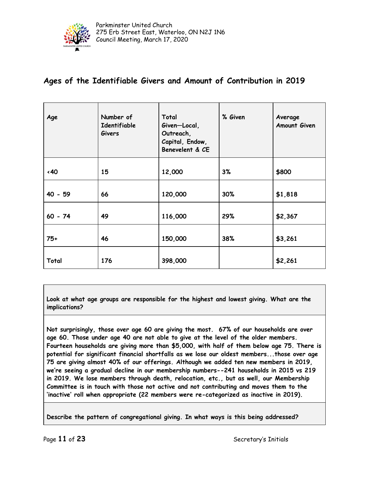

## **Ages of the Identifiable Givers and Amount of Contribution in 2019**

| Age          | Number of<br>Identifiable<br><b>Givers</b> | Total<br>Given-Local,<br>Outreach,<br>Capital, Endow,<br>Benevelent & CE | % Given | Average<br>Amount Given |
|--------------|--------------------------------------------|--------------------------------------------------------------------------|---------|-------------------------|
| $\langle 40$ | 15                                         | 12,000                                                                   | 3%      | \$800                   |
| $40 - 59$    | 66                                         | 120,000                                                                  | 30%     | \$1,818                 |
| $60 - 74$    | 49                                         | 116,000                                                                  | 29%     | \$2,367                 |
| $75+$        | 46                                         | 150,000                                                                  | 38%     | \$3,261                 |
| Total        | 176                                        | 398,000                                                                  |         | \$2,261                 |

**Look at what age groups are responsible for the highest and lowest giving. What are the implications?**

**Not surprisingly, those over age 60 are giving the most. 67% of our households are over age 60. Those under age 40 are not able to give at the level of the older members. Fourteen households are giving more than \$5,000, with half of them below age 75. There is potential for significant financial shortfalls as we lose our oldest members...those over age 75 are giving almost 40% of our offerings. Although we added ten new members in 2019, we're seeing a gradual decline in our membership numbers--241 households in 2015 vs 219 in 2019. We lose members through death, relocation, etc., but as well, our Membership Committee is in touch with those not active and not contributing and moves them to the 'inactive' roll when appropriate (22 members were re-categorized as inactive in 2019).**

**Describe the pattern of congregational giving. In what ways is this being addressed?**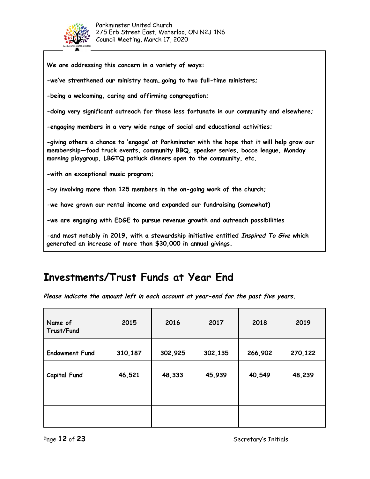

| -we've strenthened our ministry teamgoing to two full-time ministers;<br>-being a welcoming, caring and affirming congregation;<br>-doing very significant outreach for those less fortunate in our community and elsewhere;<br>-engaging members in a very wide range of social and educational activities;<br>-giving others a chance to 'engage' at Parkminster with the hope that it will help grow our<br>membership-food truck events, community BBQ, speaker series, bocce league, Monday<br>morning playgroup, LBGTQ potluck dinners open to the community, etc.<br>-with an exceptional music program;<br>-by involving more than 125 members in the on-going work of the church;<br>-we have grown our rental income and expanded our fundraising (somewhat)<br>-we are engaging with EDGE to pursue revenue growth and outreach possibilities<br>-and most notably in 2019, with a stewardship initiative entitled Inspired To Give which<br>generated an increase of more than \$30,000 in annual givings. | We are addressing this concern in a variety of ways: |
|------------------------------------------------------------------------------------------------------------------------------------------------------------------------------------------------------------------------------------------------------------------------------------------------------------------------------------------------------------------------------------------------------------------------------------------------------------------------------------------------------------------------------------------------------------------------------------------------------------------------------------------------------------------------------------------------------------------------------------------------------------------------------------------------------------------------------------------------------------------------------------------------------------------------------------------------------------------------------------------------------------------------|------------------------------------------------------|
|                                                                                                                                                                                                                                                                                                                                                                                                                                                                                                                                                                                                                                                                                                                                                                                                                                                                                                                                                                                                                        |                                                      |
|                                                                                                                                                                                                                                                                                                                                                                                                                                                                                                                                                                                                                                                                                                                                                                                                                                                                                                                                                                                                                        |                                                      |
|                                                                                                                                                                                                                                                                                                                                                                                                                                                                                                                                                                                                                                                                                                                                                                                                                                                                                                                                                                                                                        |                                                      |
|                                                                                                                                                                                                                                                                                                                                                                                                                                                                                                                                                                                                                                                                                                                                                                                                                                                                                                                                                                                                                        |                                                      |
|                                                                                                                                                                                                                                                                                                                                                                                                                                                                                                                                                                                                                                                                                                                                                                                                                                                                                                                                                                                                                        |                                                      |
|                                                                                                                                                                                                                                                                                                                                                                                                                                                                                                                                                                                                                                                                                                                                                                                                                                                                                                                                                                                                                        |                                                      |
|                                                                                                                                                                                                                                                                                                                                                                                                                                                                                                                                                                                                                                                                                                                                                                                                                                                                                                                                                                                                                        |                                                      |
|                                                                                                                                                                                                                                                                                                                                                                                                                                                                                                                                                                                                                                                                                                                                                                                                                                                                                                                                                                                                                        |                                                      |
|                                                                                                                                                                                                                                                                                                                                                                                                                                                                                                                                                                                                                                                                                                                                                                                                                                                                                                                                                                                                                        |                                                      |
|                                                                                                                                                                                                                                                                                                                                                                                                                                                                                                                                                                                                                                                                                                                                                                                                                                                                                                                                                                                                                        |                                                      |

# **Investments/Trust Funds at Year End**

**Please indicate the amount left in each account at year-end for the past five years.**

| Name of<br>Trust/Fund | 2015    | 2016    | 2017    | 2018    | 2019    |
|-----------------------|---------|---------|---------|---------|---------|
| <b>Endowment Fund</b> | 310,187 | 302,925 | 302,135 | 266,902 | 270,122 |
| <b>Capital Fund</b>   | 46,521  | 48,333  | 45,939  | 40,549  | 48,239  |
|                       |         |         |         |         |         |
|                       |         |         |         |         |         |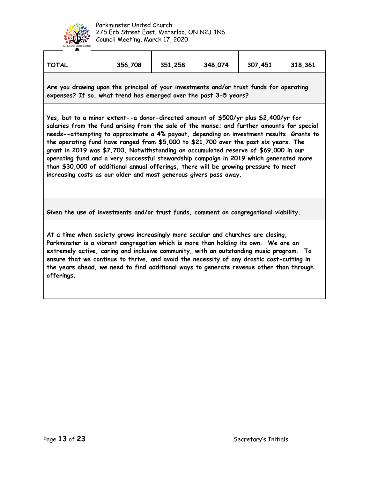

| <b>TOTAL</b>                                                                                                                                                                                                                                                                                                                                                                                                                                                                                                                                                                                                                                                                                                         | 356,708 | 351,258 | 348,074 | 307,451 | 318,361 |  |  |
|----------------------------------------------------------------------------------------------------------------------------------------------------------------------------------------------------------------------------------------------------------------------------------------------------------------------------------------------------------------------------------------------------------------------------------------------------------------------------------------------------------------------------------------------------------------------------------------------------------------------------------------------------------------------------------------------------------------------|---------|---------|---------|---------|---------|--|--|
| Are you drawing upon the principal of your investments and/or trust funds for operating<br>expenses? If so, what trend has emerged over the past 3-5 years?                                                                                                                                                                                                                                                                                                                                                                                                                                                                                                                                                          |         |         |         |         |         |  |  |
| Yes, but to a minor extent--a donor-directed amount of \$500/yr plus \$2,400/yr for<br>salaries from the fund arising from the sale of the manse; and further amounts for special<br>needs--attempting to approximate a 4% payout, depending on investment results. Grants to<br>the operating fund have ranged from \$5,000 to \$21,700 over the past six years. The<br>grant in 2019 was \$7,700. Notwithstanding an accumulated reserve of \$69,000 in our<br>operating fund and a very successful stewardship campaign in 2019 which generated more<br>than \$30,000 of additional annual offerings, there will be growing pressure to meet<br>increasing costs as our older and most generous givers pass away. |         |         |         |         |         |  |  |
| Given the use of investments and/or trust funds, comment on congregational viability.                                                                                                                                                                                                                                                                                                                                                                                                                                                                                                                                                                                                                                |         |         |         |         |         |  |  |

**At a time when society grows increasingly more secular and churches are closing, Parkminster is a vibrant congregation which is more than holding its own. We are an extremely active, caring and inclusive community, with an outstanding music program. To ensure that we continue to thrive, and avoid the necessity of any drastic cost-cutting in the years ahead, we need to find additional ways to generate revenue other than through offerings.**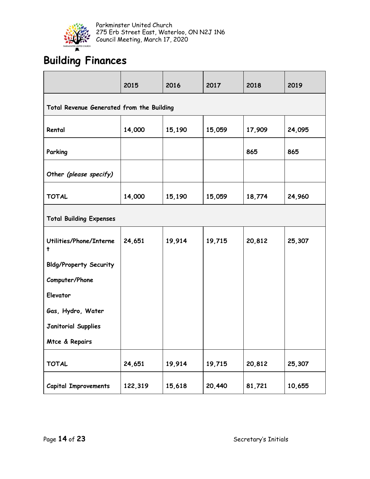

# **Building Finances**

|                                           | 2015    | 2016   | 2017   | 2018   | 2019   |  |  |
|-------------------------------------------|---------|--------|--------|--------|--------|--|--|
| Total Revenue Generated from the Building |         |        |        |        |        |  |  |
| Rental                                    | 14,000  | 15,190 | 15,059 | 17,909 | 24,095 |  |  |
| Parking                                   |         |        |        | 865    | 865    |  |  |
| Other (please specify)                    |         |        |        |        |        |  |  |
| <b>TOTAL</b>                              | 14,000  | 15,190 | 15,059 | 18,774 | 24,960 |  |  |
| <b>Total Building Expenses</b>            |         |        |        |        |        |  |  |
| Utilities/Phone/Interne<br>t              | 24,651  | 19,914 | 19,715 | 20,812 | 25,307 |  |  |
| <b>Bldg/Property Security</b>             |         |        |        |        |        |  |  |
| Computer/Phone                            |         |        |        |        |        |  |  |
| Elevator                                  |         |        |        |        |        |  |  |
| Gas, Hydro, Water                         |         |        |        |        |        |  |  |
| <b>Janitorial Supplies</b>                |         |        |        |        |        |  |  |
| Mtce & Repairs                            |         |        |        |        |        |  |  |
| <b>TOTAL</b>                              | 24,651  | 19,914 | 19,715 | 20,812 | 25,307 |  |  |
| <b>Capital Improvements</b>               | 122,319 | 15,618 | 20,440 | 81,721 | 10,655 |  |  |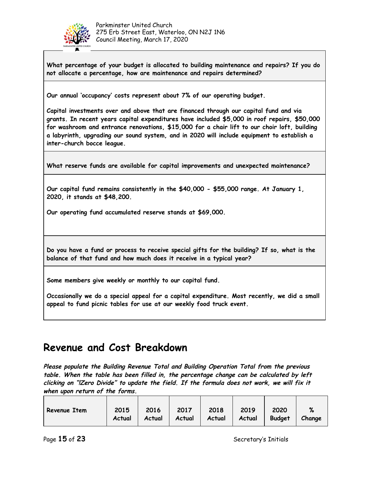

**What percentage of your budget is allocated to building maintenance and repairs? If you do not allocate a percentage, how are maintenance and repairs determined?**

**Our annual 'occupancy' costs represent about 7% of our operating budget.**

**Capital investments over and above that are financed through our capital fund and via grants. In recent years capital expenditures have included \$5,000 in roof repairs, \$50,000 for washroom and entrance renovations, \$15,000 for a chair lift to our choir loft, building a labyrinth, upgrading our sound system, and in 2020 will include equipment to establish a inter-church bocce league.**

**What reserve funds are available for capital improvements and unexpected maintenance?**

**Our capital fund remains consistently in the \$40,000 - \$55,000 range. At January 1, 2020, it stands at \$48,200.**

**Our operating fund accumulated reserve stands at \$69,000.**

**Do you have a fund or process to receive special gifts for the building? If so, what is the balance of that fund and how much does it receive in a typical year?**

**Some members give weekly or monthly to our capital fund.**

**Occasionally we do a special appeal for a capital expenditure. Most recently, we did a small appeal to fund picnic tables for use at our weekly food truck event.**

## **Revenue and Cost Breakdown**

**Please populate the Building Revenue Total and Building Operation Total from the previous table. When the table has been filled in, the percentage change can be calculated by left clicking on "!Zero Divide" to update the field. If the formula does not work, we will fix it when upon return of the forms.**

|              | 2015   | 2016   | 2017   | 2018   | 2019   | 2020          | %      |
|--------------|--------|--------|--------|--------|--------|---------------|--------|
| Revenue Item |        |        |        |        |        |               |        |
|              | Actual | Actual | Actual | Actual | Actual | <b>Budget</b> | Change |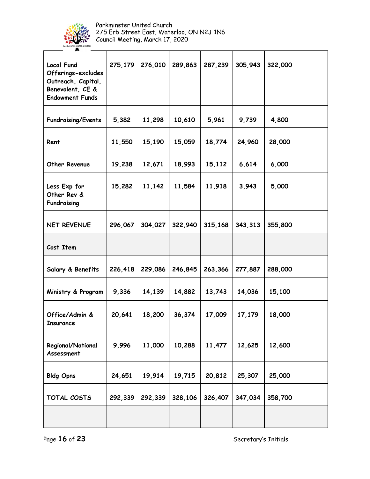

| <b>Local Fund</b><br>Offerings-excludes<br>Outreach, Capital,<br>Benevolent, CE &<br><b>Endowment Funds</b> | 275,179 | 276,010 | 289,863 | 287,239 | 305,943 | 322,000 |  |
|-------------------------------------------------------------------------------------------------------------|---------|---------|---------|---------|---------|---------|--|
| <b>Fundraising/Events</b>                                                                                   | 5,382   | 11,298  | 10,610  | 5,961   | 9,739   | 4,800   |  |
| Rent                                                                                                        | 11,550  | 15,190  | 15,059  | 18,774  | 24,960  | 28,000  |  |
| Other Revenue                                                                                               | 19,238  | 12,671  | 18,993  | 15,112  | 6,614   | 6,000   |  |
| Less Exp for<br>Other Rev &<br>Fundraising                                                                  | 15,282  | 11,142  | 11,584  | 11,918  | 3,943   | 5,000   |  |
| NET REVENUE                                                                                                 | 296,067 | 304,027 | 322,940 | 315,168 | 343,313 | 355,800 |  |
| Cost Item                                                                                                   |         |         |         |         |         |         |  |
| Salary & Benefits                                                                                           | 226,418 | 229,086 | 246,845 | 263,366 | 277,887 | 288,000 |  |
| Ministry & Program                                                                                          | 9,336   | 14,139  | 14,882  | 13,743  | 14,036  | 15,100  |  |
| Office/Admin &<br><b>Insurance</b>                                                                          | 20,641  | 18,200  | 36,374  | 17,009  | 17,179  | 18,000  |  |
| Regional/National<br>Assessment                                                                             | 9,996   | 11,000  | 10,288  | 11,477  | 12,625  | 12,600  |  |
| <b>Bldg Opns</b>                                                                                            | 24,651  | 19,914  | 19,715  | 20,812  | 25,307  | 25,000  |  |
| TOTAL COSTS                                                                                                 | 292,339 | 292,339 | 328,106 | 326,407 | 347,034 | 358,700 |  |
|                                                                                                             |         |         |         |         |         |         |  |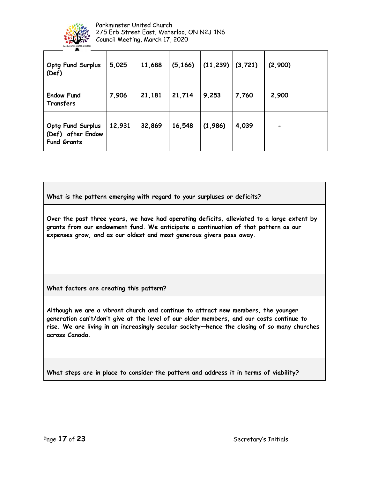

| <b>Optg Fund Surplus</b><br>(Def)                                   | 5,025  | 11,688 | (5, 166) | (11, 239) | (3, 721) | (2,900) |  |
|---------------------------------------------------------------------|--------|--------|----------|-----------|----------|---------|--|
| <b>Endow Fund</b><br>Transfers                                      | 7,906  | 21,181 | 21,714   | 9,253     | 7,760    | 2,900   |  |
| <b>Optg Fund Surplus</b><br>(Def) after Endow<br><b>Fund Grants</b> | 12,931 | 32,869 | 16,548   | (1,986)   | 4,039    |         |  |

**What is the pattern emerging with regard to your surpluses or deficits?**

**Over the past three years, we have had operating deficits, alleviated to a large extent by grants from our endowment fund. We anticipate a continuation of that pattern as our expenses grow, and as our oldest and most generous givers pass away.**

**What factors are creating this pattern?**

**Although we are a vibrant church and continue to attract new members, the younger generation can't/don't give at the level of our older members, and our costs continue to rise. We are living in an increasingly secular society—hence the closing of so many churches across Canada.**

**What steps are in place to consider the pattern and address it in terms of viability?**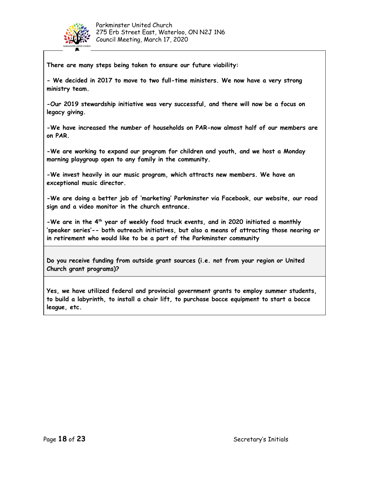

**There are many steps being taken to ensure our future viability:**

**- We decided in 2017 to move to two full-time ministers. We now have a very strong ministry team.**

**-Our 2019 stewardship initiative was very successful, and there will now be a focus on legacy giving.**

**-We have increased the number of households on PAR-now almost half of our members are on PAR.**

**-We are working to expand our program for children and youth, and we host a Monday morning playgroup open to any family in the community.**

**-We invest heavily in our music program, which attracts new members. We have an exceptional music director.**

**-We are doing a better job of 'marketing' Parkminster via Facebook, our website, our road sign and a video monitor in the church entrance.**

**-We are in the 4 th year of weekly food truck events, and in 2020 initiated a monthly 'speaker series'-- both outreach initiatives, but also a means of attracting those nearing or in retirement who would like to be a part of the Parkminster community**

**Do you receive funding from outside grant sources (i.e. not from your region or United Church grant programs)?**

**Yes, we have utilized federal and provincial government grants to employ summer students, to build a labyrinth, to install a chair lift, to purchase bocce equipment to start a bocce league, etc.**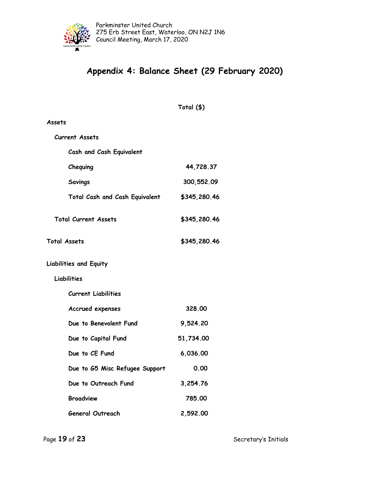

## **Appendix 4: Balance Sheet (29 February 2020)**

**Total (\$)**

| Assets                         |              |
|--------------------------------|--------------|
| <b>Current Assets</b>          |              |
| Cash and Cash Equivalent       |              |
| Chequing                       | 44,728.37    |
| <b>Savings</b>                 | 300,552.09   |
| Total Cash and Cash Equivalent | \$345,280.46 |
| <b>Total Current Assets</b>    | \$345,280.46 |
| <b>Total Assets</b>            | \$345,280.46 |
| <b>Liabilities and Equity</b>  |              |
| Liabilities                    |              |
| <b>Current Liabilities</b>     |              |
| Accrued expenses               | 328.00       |
| Due to Benevolent Fund         | 9,524.20     |
| Due to Capital Fund            | 51,734.00    |
| Due to CE Fund                 | 6,036.00     |
| Due to G5 Misc Refugee Support | 0.00         |
| Due to Outreach Fund           | 3,254.76     |
| <b>Broadview</b>               | 785.00       |
| <b>General Outreach</b>        | 2,592.00     |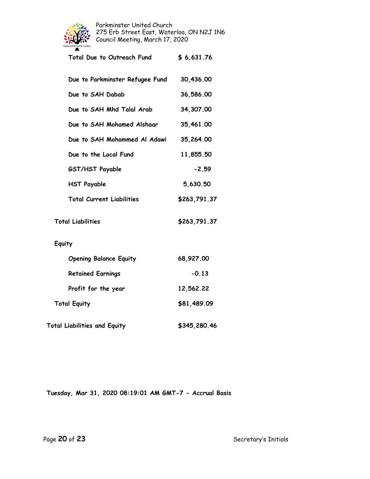

| Total Due to Outreach Fund       | \$6,631.76   |
|----------------------------------|--------------|
| Due to Parkminster Refugee Fund  | 30,436.00    |
| Due to SAH Dabab                 | 36,586.00    |
| Due to SAH Mhd Talal Arab        | 34,307.00    |
| Due to SAH Mohamed Alshaar       | 35,461.00    |
| Due to SAH Mohammed Al Adawi     | 35,264.00    |
| Due to the Local Fund            | 11,855.50    |
| GST/HST Payable                  | $-2.59$      |
| <b>HST Payable</b>               | 5,630.50     |
| <b>Total Current Liabilities</b> | \$263,791.37 |
| <b>Total Liabilities</b>         | \$263,791.37 |
| Equity                           |              |
| <b>Opening Balance Equity</b>    | 68,927.00    |
| <b>Retained Earnings</b>         | $-0.13$      |

**Total Equity \$81,489.09**

**Total Liabilities and Equity \$345,280.46**

**Profit for the year 12,562.22**

**Tuesday, Mar 31, 2020 08:19:01 AM GMT-7 - Accrual Basis**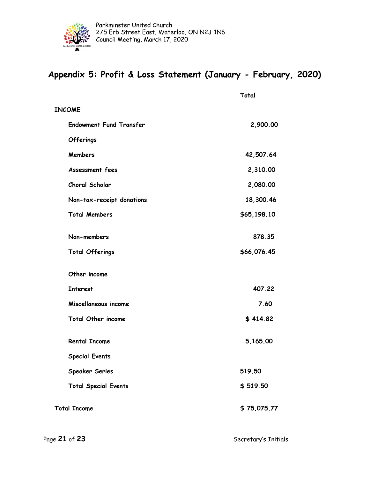

## **Appendix 5: Profit & Loss Statement (January - February, 2020)**

|                                | Total       |
|--------------------------------|-------------|
| <b>INCOME</b>                  |             |
| <b>Endowment Fund Transfer</b> | 2,900.00    |
| Offerings                      |             |
| <b>Members</b>                 | 42,507.64   |
| Assessment fees                | 2,310.00    |
| Choral Scholar                 | 2,080.00    |
| Non-tax-receipt donations      | 18,300.46   |
| <b>Total Members</b>           | \$65,198.10 |
| Non-members                    | 878.35      |
| <b>Total Offerings</b>         | \$66,076.45 |
| Other income                   |             |
| <b>Interest</b>                | 407.22      |
| Miscellaneous income           | 7.60        |
| <b>Total Other income</b>      | \$414.82    |
| <b>Rental Income</b>           | 5,165.00    |
| <b>Special Events</b>          |             |
| <b>Speaker Series</b>          | 519.50      |
| <b>Total Special Events</b>    | \$519.50    |
| <b>Total Income</b>            | \$75,075.77 |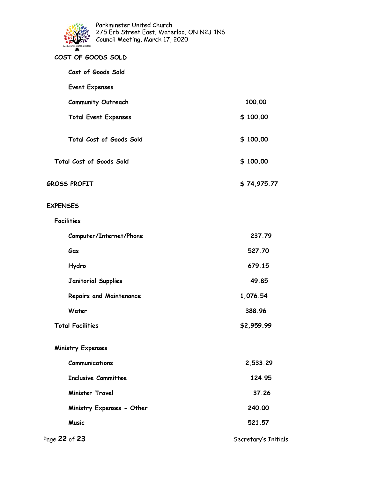

| COST OF GOODS SOLD             |             |
|--------------------------------|-------------|
| Cost of Goods Sold             |             |
| <b>Event Expenses</b>          |             |
| <b>Community Outreach</b>      | 100.00      |
| <b>Total Event Expenses</b>    | \$100.00    |
| Total Cost of Goods Sold       | \$100.00    |
| Total Cost of Goods Sold       | \$100.00    |
| <b>GROSS PROFIT</b>            | \$74,975.77 |
| <b>EXPENSES</b>                |             |
| <b>Facilities</b>              |             |
| Computer/Internet/Phone        | 237.79      |
| Gas                            | 527.70      |
| Hydro                          | 679.15      |
| <b>Janitorial Supplies</b>     | 49.85       |
| <b>Repairs and Maintenance</b> | 1,076.54    |
| Water                          | 388.96      |
| <b>Total Facilities</b>        | \$2,959.99  |
| <b>Ministry Expenses</b>       |             |
| Communications                 | 2,533.29    |
| <b>Inclusive Committee</b>     | 124.95      |
| <b>Minister Travel</b>         | 37.26       |
| Ministry Expenses - Other      | 240.00      |
| <b>Music</b>                   | 521.57      |
|                                |             |

Page 22 of 23 **Secretary's Initials**